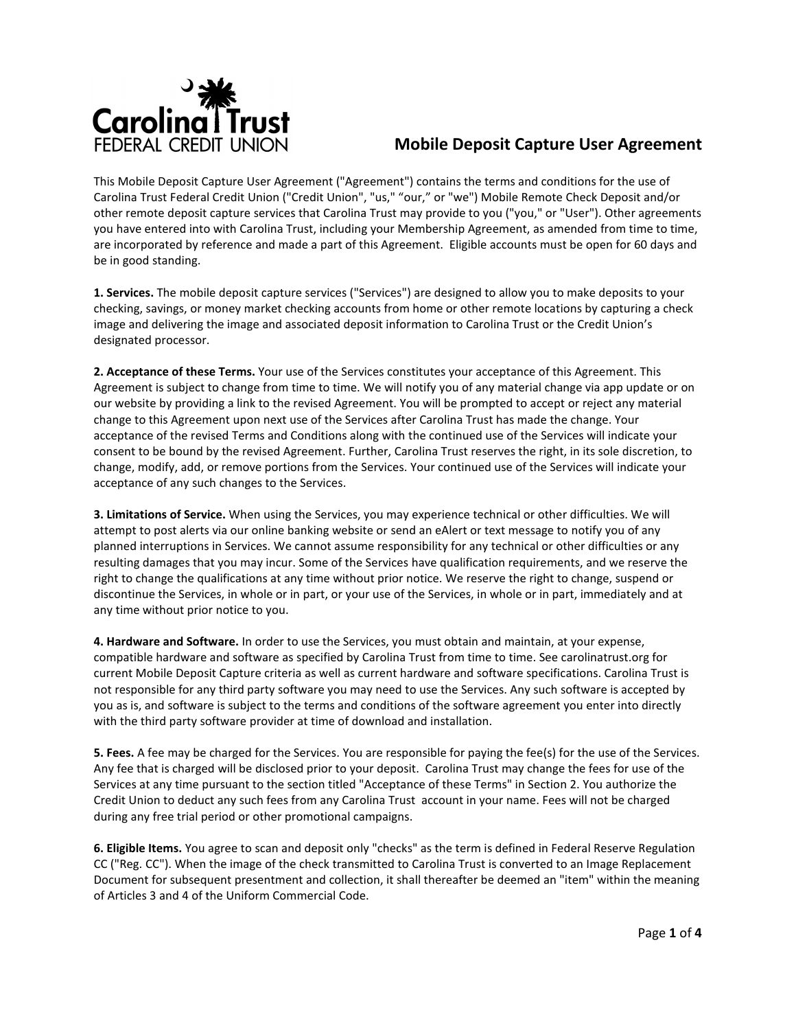

## **Mobile Deposit Capture User Agreement**

This Mobile Deposit Capture User Agreement ("Agreement") contains the terms and conditions for the use of Carolina Trust Federal Credit Union ("Credit Union", "us," "our," or "we") Mobile Remote Check Deposit and/or other remote deposit capture services that Carolina Trust may provide to you ("you," or "User"). Other agreements you have entered into with Carolina Trust, including your Membership Agreement, as amended from time to time, are incorporated by reference and made a part of this Agreement. Eligible accounts must be open for 60 days and be in good standing.

**1. Services.** The mobile deposit capture services ("Services") are designed to allow you to make deposits to your checking, savings, or money market checking accounts from home or other remote locations by capturing a check image and delivering the image and associated deposit information to Carolina Trust or the Credit Union's designated processor.

**2. Acceptance of these Terms.** Your use of the Services constitutes your acceptance of this Agreement. This Agreement is subject to change from time to time. We will notify you of any material change via app update or on our website by providing a link to the revised Agreement. You will be prompted to accept or reject any material change to this Agreement upon next use of the Services after Carolina Trust has made the change. Your acceptance of the revised Terms and Conditions along with the continued use of the Services will indicate your consent to be bound by the revised Agreement. Further, Carolina Trust reserves the right, in its sole discretion, to change, modify, add, or remove portions from the Services. Your continued use of the Services will indicate your acceptance of any such changes to the Services.

**3. Limitations of Service.** When using the Services, you may experience technical or other difficulties. We will attempt to post alerts via our online banking website or send an eAlert or text message to notify you of any planned interruptions in Services. We cannot assume responsibility for any technical or other difficulties or any resulting damages that you may incur. Some of the Services have qualification requirements, and we reserve the right to change the qualifications at any time without prior notice. We reserve the right to change, suspend or discontinue the Services, in whole or in part, or your use of the Services, in whole or in part, immediately and at any time without prior notice to you.

**4. Hardware and Software.** In order to use the Services, you must obtain and maintain, at your expense, compatible hardware and software as specified by Carolina Trust from time to time. See carolinatrust.org for current Mobile Deposit Capture criteria as well as current hardware and software specifications. Carolina Trust is not responsible for any third party software you may need to use the Services. Any such software is accepted by you as is, and software is subject to the terms and conditions of the software agreement you enter into directly with the third party software provider at time of download and installation.

**5. Fees.** A fee may be charged for the Services. You are responsible for paying the fee(s) for the use of the Services. Any fee that is charged will be disclosed prior to your deposit. Carolina Trust may change the fees for use of the Services at any time pursuant to the section titled "Acceptance of these Terms" in Section 2. You authorize the Credit Union to deduct any such fees from any Carolina Trust account in your name. Fees will not be charged during any free trial period or other promotional campaigns.

**6. Eligible Items.** You agree to scan and deposit only "checks" as the term is defined in Federal Reserve Regulation CC ("Reg. CC"). When the image of the check transmitted to Carolina Trust is converted to an Image Replacement Document for subsequent presentment and collection, it shall thereafter be deemed an "item" within the meaning of Articles 3 and 4 of the Uniform Commercial Code.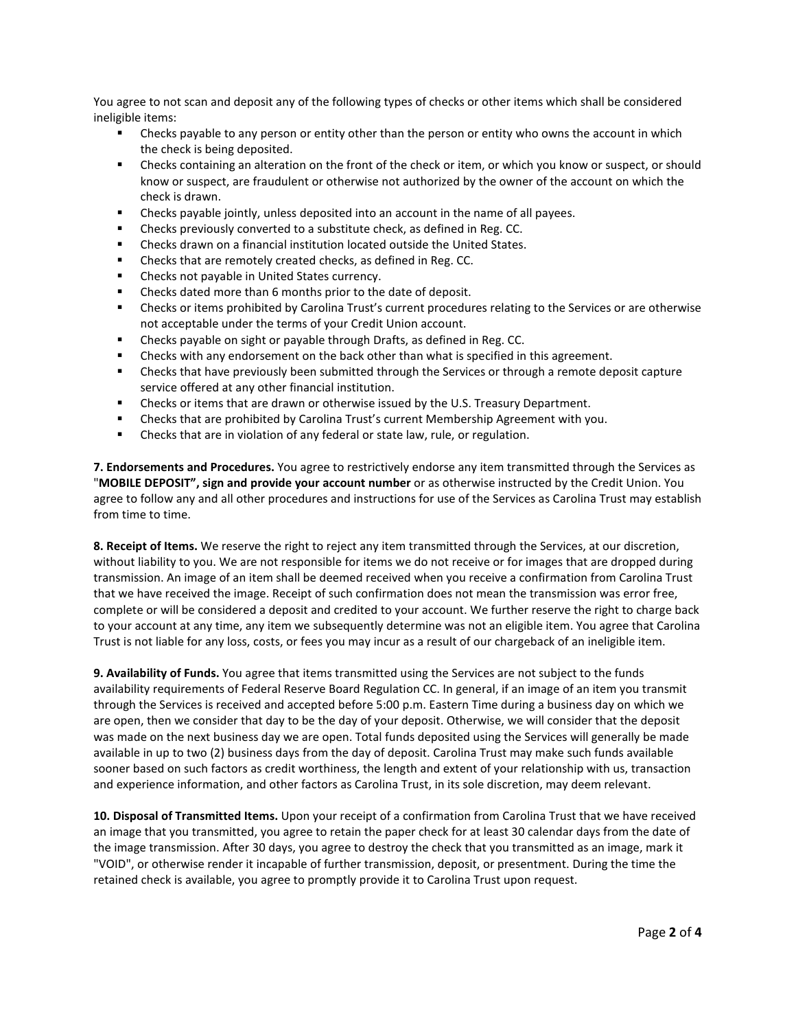You agree to not scan and deposit any of the following types of checks or other items which shall be considered ineligible items:

- **EXECT** Checks payable to any person or entity other than the person or entity who owns the account in which the check is being deposited.
- Checks containing an alteration on the front of the check or item, or which you know or suspect, or should know or suspect, are fraudulent or otherwise not authorized by the owner of the account on which the check is drawn.
- Checks payable jointly, unless deposited into an account in the name of all payees.
- **•** Checks previously converted to a substitute check, as defined in Reg. CC.
- Checks drawn on a financial institution located outside the United States.
- Checks that are remotely created checks, as defined in Reg. CC.
- **EXECUTE:** Checks not payable in United States currency.
- Checks dated more than 6 months prior to the date of deposit.
- Checks or items prohibited by Carolina Trust's current procedures relating to the Services or are otherwise not acceptable under the terms of your Credit Union account.
- Checks payable on sight or payable through Drafts, as defined in Reg. CC.
- **EXECO EXECO WHEN A** Checks with any endorsement on the back other than what is specified in this agreement.
- Checks that have previously been submitted through the Services or through a remote deposit capture service offered at any other financial institution.
- Checks or items that are drawn or otherwise issued by the U.S. Treasury Department.
- Checks that are prohibited by Carolina Trust's current Membership Agreement with you.
- **EXED:** Checks that are in violation of any federal or state law, rule, or regulation.

**7. Endorsements and Procedures.** You agree to restrictively endorse any item transmitted through the Services as "**MOBILE DEPOSIT", sign and provide your account number** or as otherwise instructed by the Credit Union. You agree to follow any and all other procedures and instructions for use of the Services as Carolina Trust may establish from time to time.

**8. Receipt of Items.** We reserve the right to reject any item transmitted through the Services, at our discretion, without liability to you. We are not responsible for items we do not receive or for images that are dropped during transmission. An image of an item shall be deemed received when you receive a confirmation from Carolina Trust that we have received the image. Receipt of such confirmation does not mean the transmission was error free, complete or will be considered a deposit and credited to your account. We further reserve the right to charge back to your account at any time, any item we subsequently determine was not an eligible item. You agree that Carolina Trust is not liable for any loss, costs, or fees you may incur as a result of our chargeback of an ineligible item.

**9. Availability of Funds.** You agree that items transmitted using the Services are not subject to the funds availability requirements of Federal Reserve Board Regulation CC. In general, if an image of an item you transmit through the Services is received and accepted before 5:00 p.m. Eastern Time during a business day on which we are open, then we consider that day to be the day of your deposit. Otherwise, we will consider that the deposit was made on the next business day we are open. Total funds deposited using the Services will generally be made available in up to two (2) business days from the day of deposit. Carolina Trust may make such funds available sooner based on such factors as credit worthiness, the length and extent of your relationship with us, transaction and experience information, and other factors as Carolina Trust, in its sole discretion, may deem relevant.

**10. Disposal of Transmitted Items.** Upon your receipt of a confirmation from Carolina Trust that we have received an image that you transmitted, you agree to retain the paper check for at least 30 calendar days from the date of the image transmission. After 30 days, you agree to destroy the check that you transmitted as an image, mark it "VOID", or otherwise render it incapable of further transmission, deposit, or presentment. During the time the retained check is available, you agree to promptly provide it to Carolina Trust upon request.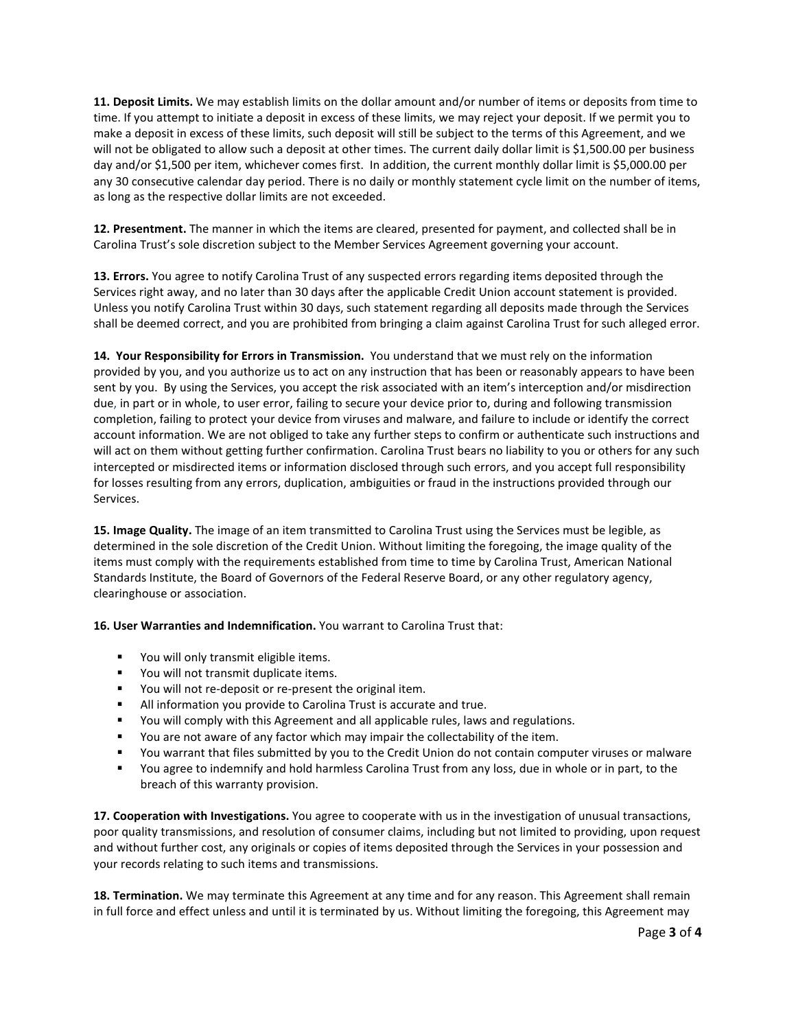**11. Deposit Limits.** We may establish limits on the dollar amount and/or number of items or deposits from time to time. If you attempt to initiate a deposit in excess of these limits, we may reject your deposit. If we permit you to make a deposit in excess of these limits, such deposit will still be subject to the terms of this Agreement, and we will not be obligated to allow such a deposit at other times. The current daily dollar limit is \$1,500.00 per business day and/or \$1,500 per item, whichever comes first. In addition, the current monthly dollar limit is \$5,000.00 per any 30 consecutive calendar day period. There is no daily or monthly statement cycle limit on the number of items, as long as the respective dollar limits are not exceeded.

**12. Presentment.** The manner in which the items are cleared, presented for payment, and collected shall be in Carolina Trust's sole discretion subject to the Member Services Agreement governing your account.

**13. Errors.** You agree to notify Carolina Trust of any suspected errors regarding items deposited through the Services right away, and no later than 30 days after the applicable Credit Union account statement is provided. Unless you notify Carolina Trust within 30 days, such statement regarding all deposits made through the Services shall be deemed correct, and you are prohibited from bringing a claim against Carolina Trust for such alleged error.

**14. Your Responsibility for Errors in Transmission.** You understand that we must rely on the information provided by you, and you authorize us to act on any instruction that has been or reasonably appears to have been sent by you. By using the Services, you accept the risk associated with an item's interception and/or misdirection due, in part or in whole, to user error, failing to secure your device prior to, during and following transmission completion, failing to protect your device from viruses and malware, and failure to include or identify the correct account information. We are not obliged to take any further steps to confirm or authenticate such instructions and will act on them without getting further confirmation. Carolina Trust bears no liability to you or others for any such intercepted or misdirected items or information disclosed through such errors, and you accept full responsibility for losses resulting from any errors, duplication, ambiguities or fraud in the instructions provided through our Services.

**15. Image Quality.** The image of an item transmitted to Carolina Trust using the Services must be legible, as determined in the sole discretion of the Credit Union. Without limiting the foregoing, the image quality of the items must comply with the requirements established from time to time by Carolina Trust, American National Standards Institute, the Board of Governors of the Federal Reserve Board, or any other regulatory agency, clearinghouse or association.

**16. User Warranties and Indemnification.** You warrant to Carolina Trust that:

- **•** You will only transmit eligible items.
- You will not transmit duplicate items.
- You will not re-deposit or re-present the original item.
- All information you provide to Carolina Trust is accurate and true.
- You will comply with this Agreement and all applicable rules, laws and regulations.
- **The State and State 1** You are not aware of any factor which may impair the collectability of the item.
- You warrant that files submitted by you to the Credit Union do not contain computer viruses or malware
- You agree to indemnify and hold harmless Carolina Trust from any loss, due in whole or in part, to the breach of this warranty provision.

**17. Cooperation with Investigations.** You agree to cooperate with us in the investigation of unusual transactions, poor quality transmissions, and resolution of consumer claims, including but not limited to providing, upon request and without further cost, any originals or copies of items deposited through the Services in your possession and your records relating to such items and transmissions.

**18. Termination.** We may terminate this Agreement at any time and for any reason. This Agreement shall remain in full force and effect unless and until it is terminated by us. Without limiting the foregoing, this Agreement may